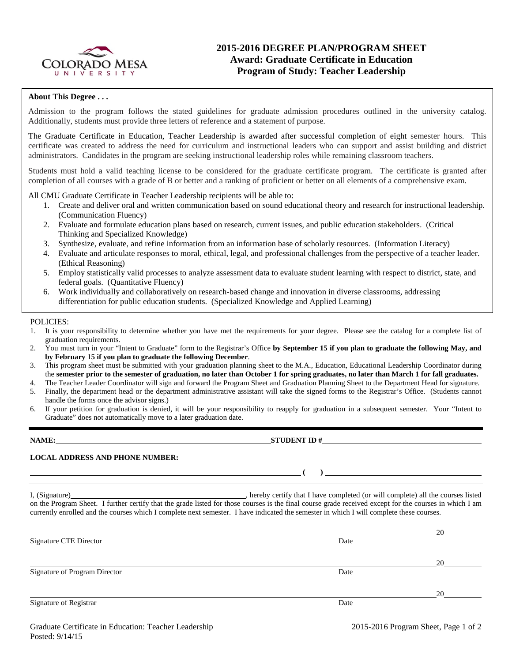

### **2015-2016 DEGREE PLAN/PROGRAM SHEET Award: Graduate Certificate in Education Program of Study: Teacher Leadership**

#### **About This Degree . . .**

Admission to the program follows the stated guidelines for graduate admission procedures outlined in the university catalog. Additionally, students must provide three letters of reference and a statement of purpose.

The Graduate Certificate in Education, Teacher Leadership is awarded after successful completion of eight semester hours. This certificate was created to address the need for curriculum and instructional leaders who can support and assist building and district administrators. Candidates in the program are seeking instructional leadership roles while remaining classroom teachers.

Students must hold a valid teaching license to be considered for the graduate certificate program. The certificate is granted after completion of all courses with a grade of B or better and a ranking of proficient or better on all elements of a comprehensive exam.

All CMU Graduate Certificate in Teacher Leadership recipients will be able to:

- 1. Create and deliver oral and written communication based on sound educational theory and research for instructional leadership. (Communication Fluency)
- 2. Evaluate and formulate education plans based on research, current issues, and public education stakeholders. (Critical Thinking and Specialized Knowledge)
- 3. Synthesize, evaluate, and refine information from an information base of scholarly resources. (Information Literacy)
- 4. Evaluate and articulate responses to moral, ethical, legal, and professional challenges from the perspective of a teacher leader. (Ethical Reasoning)
- 5. Employ statistically valid processes to analyze assessment data to evaluate student learning with respect to district, state, and federal goals. (Quantitative Fluency)
- 6. Work individually and collaboratively on research-based change and innovation in diverse classrooms, addressing differentiation for public education students. (Specialized Knowledge and Applied Learning)

POLICIES:

- 1. It is your responsibility to determine whether you have met the requirements for your degree. Please see the catalog for a complete list of graduation requirements.
- 2. You must turn in your "Intent to Graduate" form to the Registrar's Office **by September 15 if you plan to graduate the following May, and by February 15 if you plan to graduate the following December**.
- 3. This program sheet must be submitted with your graduation planning sheet to the M.A., Education, Educational Leadership Coordinator during the **semester prior to the semester of graduation, no later than October 1 for spring graduates, no later than March 1 for fall graduates.**
- 4. The Teacher Leader Coordinator will sign and forward the Program Sheet and Graduation Planning Sheet to the Department Head for signature. 5. Finally, the department head or the department administrative assistant will take the signed forms to the Registrar's Office. (Students cannot handle the forms once the advisor signs.)
- 6. If your petition for graduation is denied, it will be your responsibility to reapply for graduation in a subsequent semester. Your "Intent to Graduate" does not automatically move to a later graduation date.

| NAME:                                  | <b>STUDENT ID#</b> |  |  |
|----------------------------------------|--------------------|--|--|
| <b>LOCAL ADDRESS AND PHONE NUMBER:</b> |                    |  |  |
|                                        |                    |  |  |

I, (Signature) **Solution** , hereby certify that I have completed (or will complete) all the courses listed on the Program Sheet. I further certify that the grade listed for those courses is the final course grade received except for the courses in which I am currently enrolled and the courses which I complete next semester. I have indicated the semester in which I will complete these courses.

|                               |      | 20 |
|-------------------------------|------|----|
| <b>Signature CTE Director</b> | Date |    |
|                               |      |    |
|                               |      | 20 |
| Signature of Program Director | Date |    |
|                               |      |    |
|                               |      | 20 |
| Signature of Registrar        | Date |    |
|                               |      |    |